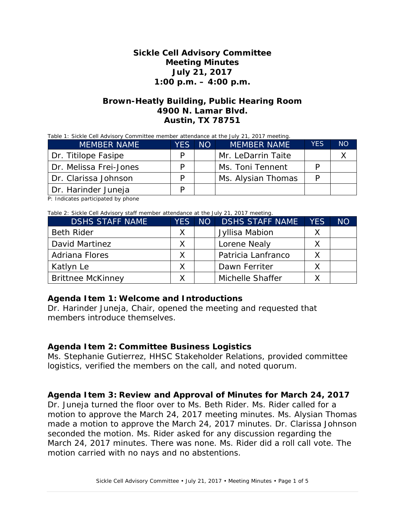## **Sickle Cell Advisory Committee Meeting Minutes July 21, 2017 1:00 p.m. – 4:00 p.m.**

## **Brown-Heatly Building, Public Hearing Room 4900 N. Lamar Blvd. Austin, TX 78751**

Table 1: Sickle Cell Advisory Committee member attendance at the July 21, 2017 meeting.

| <b>MEMBER NAME</b>     | <b>YES</b> | NO <sub>1</sub> | <b>MEMBER NAME</b> | <b>YES</b> | NO <sup>1</sup> |
|------------------------|------------|-----------------|--------------------|------------|-----------------|
| Dr. Titilope Fasipe    | D          |                 | Mr. LeDarrin Taite |            |                 |
| Dr. Melissa Frei-Jones | D          |                 | Ms. Toni Tennent   |            |                 |
| Dr. Clarissa Johnson   | D          |                 | Ms. Alysian Thomas |            |                 |
| Dr. Harinder Juneja    | D          |                 |                    |            |                 |

P: Indicates participated by phone

Table 2: Sickle Cell Advisory staff member attendance at the July 21, 2017 meeting.

| <b>DSHS STAFF NAME</b>   | <b>YES</b> | ANO <sup>T</sup> | <b>DSHS STAFF NAME</b> | <b>YES</b> | <b>NO</b> |
|--------------------------|------------|------------------|------------------------|------------|-----------|
| <b>Beth Rider</b>        | Χ          |                  | Jyllisa Mabion         |            |           |
| David Martinez           |            |                  | Lorene Nealy           |            |           |
| Adriana Flores           |            |                  | Patricia Lanfranco     |            |           |
| Katlyn Le                |            |                  | Dawn Ferriter          |            |           |
| <b>Brittnee McKinney</b> |            |                  | Michelle Shaffer       |            |           |

#### **Agenda Item 1: Welcome and Introductions**

Dr. Harinder Juneja, Chair, opened the meeting and requested that members introduce themselves.

## **Agenda Item 2: Committee Business Logistics**

Ms. Stephanie Gutierrez, HHSC Stakeholder Relations, provided committee logistics, verified the members on the call, and noted quorum.

## **Agenda Item 3: Review and Approval of Minutes for March 24, 2017**

Dr. Juneja turned the floor over to Ms. Beth Rider. Ms. Rider called for a motion to approve the March 24, 2017 meeting minutes. Ms. Alysian Thomas made a motion to approve the March 24, 2017 minutes. Dr. Clarissa Johnson seconded the motion. Ms. Rider asked for any discussion regarding the March 24, 2017 minutes. There was none. Ms. Rider did a roll call vote. The motion carried with no nays and no abstentions.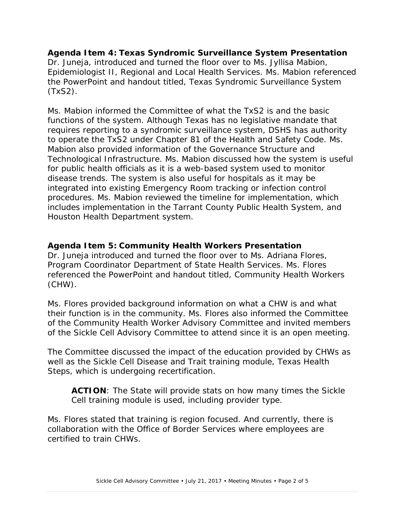**Agenda Item 4: Texas Syndromic Surveillance System Presentation** Dr. Juneja, introduced and turned the floor over to Ms. Jyllisa Mabion, Epidemiologist II, Regional and Local Health Services. Ms. Mabion referenced the PowerPoint and handout titled, *Texas Syndromic Surveillance System (TxS2)*.

Ms. Mabion informed the Committee of what the TxS2 is and the basic functions of the system. Although Texas has no legislative mandate that requires reporting to a syndromic surveillance system, DSHS has authority to operate the TxS2 under Chapter 81 of the Health and Safety Code. Ms. Mabion also provided information of the Governance Structure and Technological Infrastructure. Ms. Mabion discussed how the system is useful for public health officials as it is a web-based system used to monitor disease trends. The system is also useful for hospitals as it may be integrated into existing Emergency Room tracking or infection control procedures. Ms. Mabion reviewed the timeline for implementation, which includes implementation in the Tarrant County Public Health System, and Houston Health Department system.

## **Agenda Item 5: Community Health Workers Presentation**

Dr. Juneja introduced and turned the floor over to Ms. Adriana Flores, Program Coordinator Department of State Health Services. Ms. Flores referenced the PowerPoint and handout titled, *Community Health Workers (CHW)*.

Ms. Flores provided background information on what a CHW is and what their function is in the community. Ms. Flores also informed the Committee of the Community Health Worker Advisory Committee and invited members of the Sickle Cell Advisory Committee to attend since it is an open meeting.

The Committee discussed the impact of the education provided by CHWs as well as the Sickle Cell Disease and Trait training module, Texas Health Steps, which is undergoing recertification.

**ACTION**: The State will provide stats on how many times the Sickle Cell training module is used, including provider type.

Ms. Flores stated that training is region focused. And currently, there is collaboration with the Office of Border Services where employees are certified to train CHWs.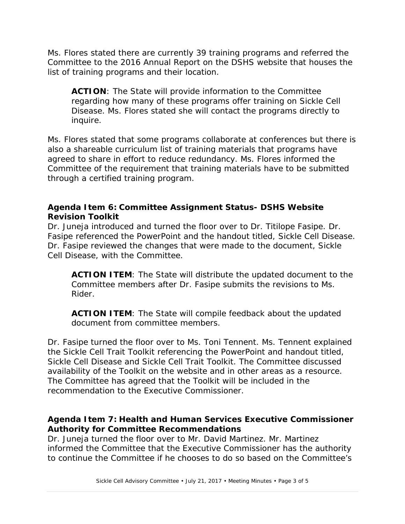Ms. Flores stated there are currently 39 training programs and referred the Committee to the 2016 Annual Report on the DSHS website that houses the list of training programs and their location.

**ACTION**: The State will provide information to the Committee regarding how many of these programs offer training on Sickle Cell Disease. Ms. Flores stated she will contact the programs directly to inquire.

Ms. Flores stated that some programs collaborate at conferences but there is also a shareable curriculum list of training materials that programs have agreed to share in effort to reduce redundancy. Ms. Flores informed the Committee of the requirement that training materials have to be submitted through a certified training program.

# **Agenda Item 6: Committee Assignment Status- DSHS Website Revision Toolkit**

Dr. Juneja introduced and turned the floor over to Dr. Titilope Fasipe. Dr. Fasipe referenced the PowerPoint and the handout titled, *Sickle Cell Disease*. Dr. Fasipe reviewed the changes that were made to the document, *Sickle Cell Disease*, with the Committee.

**ACTION ITEM**: The State will distribute the updated document to the Committee members after Dr. Fasipe submits the revisions to Ms. Rider.

**ACTION ITEM**: The State will compile feedback about the updated document from committee members.

Dr. Fasipe turned the floor over to Ms. Toni Tennent. Ms. Tennent explained the Sickle Cell Trait Toolkit referencing the PowerPoint and handout titled, *Sickle Cell Disease and Sickle Cell Trait Toolkit*. The Committee discussed availability of the Toolkit on the website and in other areas as a resource. The Committee has agreed that the Toolkit will be included in the recommendation to the Executive Commissioner.

# **Agenda Item 7: Health and Human Services Executive Commissioner Authority for Committee Recommendations**

Dr. Juneja turned the floor over to Mr. David Martinez. Mr. Martinez informed the Committee that the Executive Commissioner has the authority to continue the Committee if he chooses to do so based on the Committee's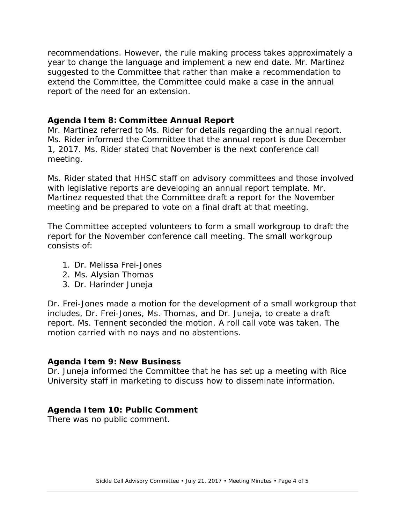recommendations. However, the rule making process takes approximately a year to change the language and implement a new end date. Mr. Martinez suggested to the Committee that rather than make a recommendation to extend the Committee, the Committee could make a case in the annual report of the need for an extension.

### **Agenda Item 8: Committee Annual Report**

Mr. Martinez referred to Ms. Rider for details regarding the annual report. Ms. Rider informed the Committee that the annual report is due December 1, 2017. Ms. Rider stated that November is the next conference call meeting.

Ms. Rider stated that HHSC staff on advisory committees and those involved with legislative reports are developing an annual report template. Mr. Martinez requested that the Committee draft a report for the November meeting and be prepared to vote on a final draft at that meeting.

The Committee accepted volunteers to form a small workgroup to draft the report for the November conference call meeting. The small workgroup consists of:

- 1. Dr. Melissa Frei-Jones
- 2. Ms. Alysian Thomas
- 3. Dr. Harinder Juneja

Dr. Frei-Jones made a motion for the development of a small workgroup that includes, Dr. Frei-Jones, Ms. Thomas, and Dr. Juneja, to create a draft report. Ms. Tennent seconded the motion. A roll call vote was taken. The motion carried with no nays and no abstentions.

#### **Agenda Item 9: New Business**

Dr. Juneja informed the Committee that he has set up a meeting with Rice University staff in marketing to discuss how to disseminate information.

## **Agenda Item 10: Public Comment**

There was no public comment.